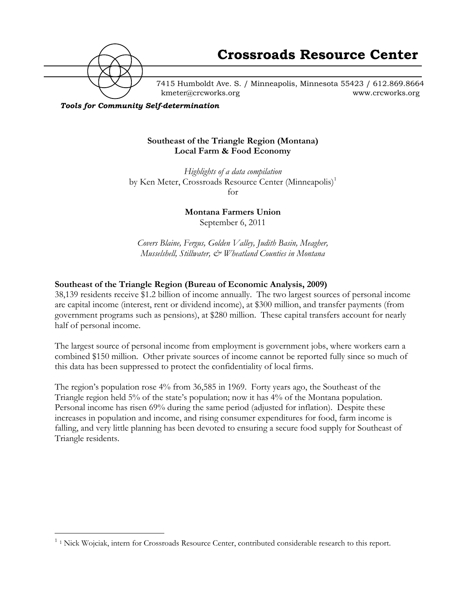

7415 Humboldt Ave. S. / Minneapolis, Minnesota 55423 / 612.869.8664 kmeter@crcworks.org www.crcworks.org

*Tools for Community Self-determination*

#### **Southeast of the Triangle Region (Montana) Local Farm & Food Economy**

*Highlights of a data compilation* by Ken Meter, Crossroads Resource Center (Minneapolis)<sup>1</sup> for

> **Montana Farmers Union** September 6, 2011

*Covers Blaine, Fergus, Golden Valley, Judith Basin, Meagher, Musselshell, Stillwater, & Wheatland Counties in Montana*

### **Southeast of the Triangle Region (Bureau of Economic Analysis, 2009)**

38,139 residents receive \$1.2 billion of income annually. The two largest sources of personal income are capital income (interest, rent or dividend income), at \$300 million, and transfer payments (from government programs such as pensions), at \$280 million. These capital transfers account for nearly half of personal income.

The largest source of personal income from employment is government jobs, where workers earn a combined \$150 million. Other private sources of income cannot be reported fully since so much of this data has been suppressed to protect the confidentiality of local firms.

The region's population rose 4% from 36,585 in 1969. Forty years ago, the Southeast of the Triangle region held 5% of the state's population; now it has 4% of the Montana population. Personal income has risen 69% during the same period (adjusted for inflation). Despite these increases in population and income, and rising consumer expenditures for food, farm income is falling, and very little planning has been devoted to ensuring a secure food supply for Southeast of Triangle residents.

<sup>&</sup>lt;sup>1</sup> 1 Nick Wojciak, intern for Crossroads Resource Center, contributed considerable research to this report.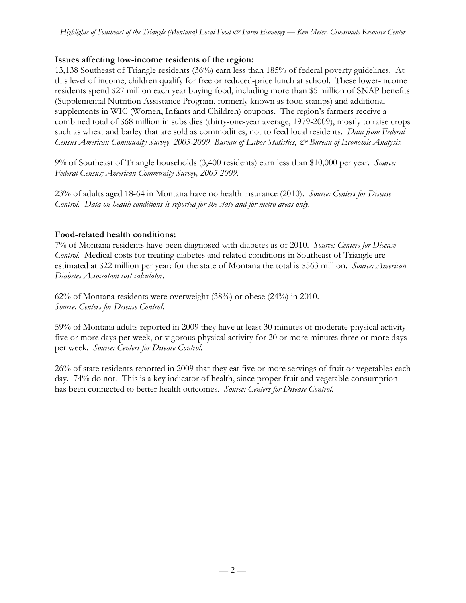### **Issues affecting low-income residents of the region:**

13,138 Southeast of Triangle residents (36%) earn less than 185% of federal poverty guidelines. At this level of income, children qualify for free or reduced-price lunch at school. These lower-income residents spend \$27 million each year buying food, including more than \$5 million of SNAP benefits (Supplemental Nutrition Assistance Program, formerly known as food stamps) and additional supplements in WIC (Women, Infants and Children) coupons. The region's farmers receive a combined total of \$68 million in subsidies (thirty-one-year average, 1979-2009), mostly to raise crops such as wheat and barley that are sold as commodities, not to feed local residents. *Data from Federal Census American Community Survey, 2005-2009, Bureau of Labor Statistics, & Bureau of Economic Analysis.*

9% of Southeast of Triangle households (3,400 residents) earn less than \$10,000 per year. *Source: Federal Census; American Community Survey, 2005-2009.*

23% of adults aged 18-64 in Montana have no health insurance (2010). *Source: Centers for Disease Control. Data on health conditions is reported for the state and for metro areas only.*

### **Food-related health conditions:**

7% of Montana residents have been diagnosed with diabetes as of 2010. *Source: Centers for Disease Control.* Medical costs for treating diabetes and related conditions in Southeast of Triangle are estimated at \$22 million per year; for the state of Montana the total is \$563 million. *Source: American Diabetes Association cost calculator.*

62% of Montana residents were overweight (38%) or obese (24%) in 2010. *Source: Centers for Disease Control.*

59% of Montana adults reported in 2009 they have at least 30 minutes of moderate physical activity five or more days per week, or vigorous physical activity for 20 or more minutes three or more days per week. *Source: Centers for Disease Control.*

26% of state residents reported in 2009 that they eat five or more servings of fruit or vegetables each day. 74% do not. This is a key indicator of health, since proper fruit and vegetable consumption has been connected to better health outcomes. *Source: Centers for Disease Control.*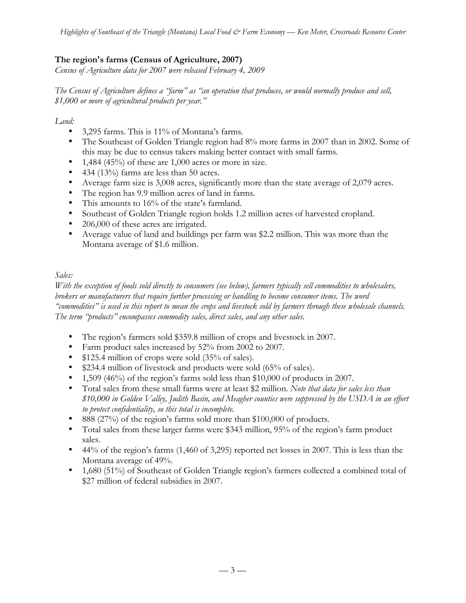## **The region's farms (Census of Agriculture, 2007)**

*Census of Agriculture data for 2007 were released February 4, 2009*

*The Census of Agriculture defines a "farm" as "an operation that produces, or would normally produce and sell, \$1,000 or more of agricultural products per year."*

*Land:*

- 3,295 farms. This is 11% of Montana's farms.
- The Southeast of Golden Triangle region had 8% more farms in 2007 than in 2002. Some of this may be due to census takers making better contact with small farms.
- 1,484 (45%) of these are  $1,000$  acres or more in size.
- 434 (13%) farms are less than 50 acres.
- Average farm size is 3,008 acres, significantly more than the state average of 2,079 acres.
- The region has 9.9 million acres of land in farms.
- This amounts to 16% of the state's farmland.
- Southeast of Golden Triangle region holds 1.2 million acres of harvested cropland.
- 206,000 of these acres are irrigated.
- Average value of land and buildings per farm was \$2.2 million. This was more than the Montana average of \$1.6 million.

## *Sales:*

*With the exception of foods sold directly to consumers (see below), farmers typically sell commodities to wholesalers, brokers or manufacturers that require further processing or handling to become consumer items. The word "commodities" is used in this report to mean the crops and livestock sold by farmers through these wholesale channels. The term "products" encompasses commodity sales, direct sales, and any other sales.*

- The region's farmers sold \$359.8 million of crops and livestock in 2007.
- Farm product sales increased by 52% from 2002 to 2007.
- \$125.4 million of crops were sold (35% of sales).
- \$234.4 million of livestock and products were sold (65% of sales).
- 1,509 (46%) of the region's farms sold less than \$10,000 of products in 2007.
- Total sales from these small farms were at least \$2 million. *Note that data for sales less than \$10,000 in Golden Valley, Judith Basin, and Meagher counties were suppressed by the USDA in an effort to protect confidentiality, so this total is incomplete.*
- 888 (27%) of the region's farms sold more than \$100,000 of products.
- Total sales from these larger farms were \$343 million, 95% of the region's farm product sales.
- 44% of the region's farms (1,460 of 3,295) reported net losses in 2007. This is less than the Montana average of 49%.
- 1,680 (51%) of Southeast of Golden Triangle region's farmers collected a combined total of \$27 million of federal subsidies in 2007.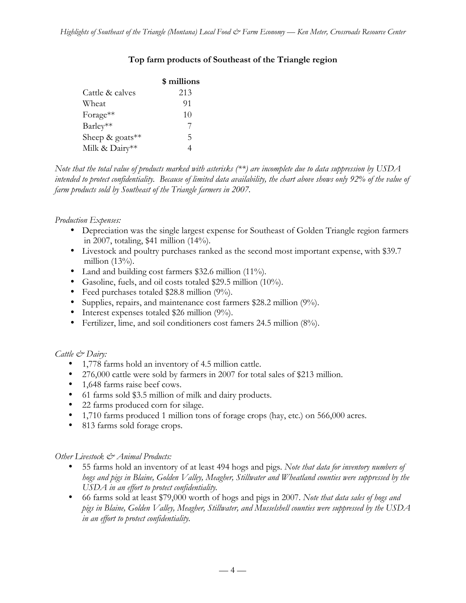|                             | \$ millions   |
|-----------------------------|---------------|
| Cattle & calves             | 213           |
| Wheat                       | 91            |
| Forage**                    | 10            |
| Barley**                    | $\frac{1}{2}$ |
| Sheep & goats <sup>**</sup> | 5             |
| Milk & Dairy**              |               |

### **Top farm products of Southeast of the Triangle region**

*Note that the total value of products marked with asterisks (\*\*) are incomplete due to data suppression by USDA intended to protect confidentiality. Because of limited data availability, the chart above shows only 92% of the value of farm products sold by Southeast of the Triangle farmers in 2007.*

#### *Production Expenses:*

- Depreciation was the single largest expense for Southeast of Golden Triangle region farmers in 2007, totaling, \$41 million (14%).
- Livestock and poultry purchases ranked as the second most important expense, with \$39.7 million (13%).
- Land and building cost farmers \$32.6 million (11%).
- Gasoline, fuels, and oil costs totaled \$29.5 million (10%).
- Feed purchases totaled \$28.8 million (9%).
- Supplies, repairs, and maintenance cost farmers \$28.2 million (9%).
- Interest expenses totaled \$26 million (9%).
- Fertilizer, lime, and soil conditioners cost famers 24.5 million (8%).

#### *Cattle & Dairy:*

- 1,778 farms hold an inventory of 4.5 million cattle.
- 276,000 cattle were sold by farmers in 2007 for total sales of \$213 million.
- 1,648 farms raise beef cows.
- 61 farms sold \$3.5 million of milk and dairy products.
- 22 farms produced corn for silage.
- 1,710 farms produced 1 million tons of forage crops (hay, etc.) on 566,000 acres.
- 813 farms sold forage crops.

#### *Other Livestock & Animal Products:*

- 55 farms hold an inventory of at least 494 hogs and pigs. *Note that data for inventory numbers of hogs and pigs in Blaine, Golden Valley, Meagher, Stillwater and Wheatland counties were suppressed by the USDA in an effort to protect confidentiality.*
- 66 farms sold at least \$79,000 worth of hogs and pigs in 2007. *Note that data sales of hogs and pigs in Blaine, Golden Valley, Meagher, Stillwater, and Musselshell counties were suppressed by the USDA in an effort to protect confidentiality.*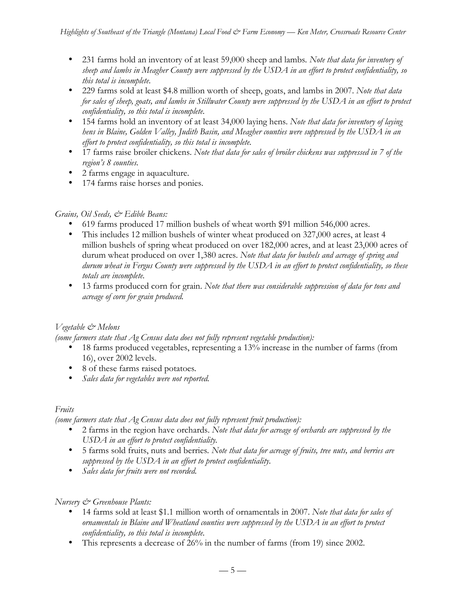- 231 farms hold an inventory of at least 59,000 sheep and lambs*. Note that data for inventory of sheep and lambs in Meagher County were suppressed by the USDA in an effort to protect confidentiality, so this total is incomplete.*
- 229 farms sold at least \$4.8 million worth of sheep, goats, and lambs in 2007. *Note that data for sales of sheep, goats, and lambs in Stillwater County were suppressed by the USDA in an effort to protect confidentiality, so this total is incomplete.*
- 154 farms hold an inventory of at least 34,000 laying hens. *Note that data for inventory of laying hens in Blaine, Golden Valley, Judith Basin, and Meagher counties were suppressed by the USDA in an effort to protect confidentiality, so this total is incomplete.*
- 17 farms raise broiler chickens. *Note that data for sales of broiler chickens was suppressed in 7 of the region's 8 counties.*
- 2 farms engage in aquaculture.
- 174 farms raise horses and ponies.

## *Grains, Oil Seeds, & Edible Beans:*

- 619 farms produced 17 million bushels of wheat worth \$91 million 546,000 acres.
- This includes 12 million bushels of winter wheat produced on 327,000 acres, at least 4 million bushels of spring wheat produced on over 182,000 acres, and at least 23,000 acres of durum wheat produced on over 1,380 acres. *Note that data for bushels and acreage of spring and durum wheat in Fergus County were suppressed by the USDA in an effort to protect confidentiality, so these totals are incomplete.*
- 13 farms produced corn for grain. *Note that there was considerable suppression of data for tons and acreage of corn for grain produced.*

## *Vegetable & Melons*

*(some farmers state that Ag Census data does not fully represent vegetable production):*

- 18 farms produced vegetables, representing a 13% increase in the number of farms (from 16), over 2002 levels.
- 8 of these farms raised potatoes*.*
- *Sales data for vegetables were not reported.*

## *Fruits*

*(some farmers state that Ag Census data does not fully represent fruit production):*

- 2 farms in the region have orchards. *Note that data for acreage of orchards are suppressed by the USDA in an effort to protect confidentiality.*
- 5 farms sold fruits, nuts and berries*. Note that data for acreage of fruits, tree nuts, and berries are suppressed by the USDA in an effort to protect confidentiality.*
- *Sales data for fruits were not recorded.*

## *Nursery & Greenhouse Plants:*

- 14 farms sold at least \$1.1 million worth of ornamentals in 2007. *Note that data for sales of ornamentals in Blaine and Wheatland counties were suppressed by the USDA in an effort to protect confidentiality, so this total is incomplete.*
- This represents a decrease of 26% in the number of farms (from 19) since 2002.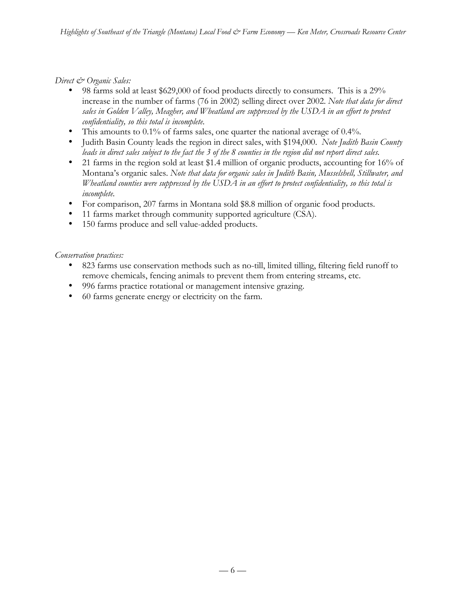*Direct & Organic Sales:*

- 98 farms sold at least \$629,000 of food products directly to consumers. This is a 29% increase in the number of farms (76 in 2002) selling direct over 2002. *Note that data for direct sales in Golden Valley, Meagher, and Wheatland are suppressed by the USDA in an effort to protect confidentiality, so this total is incomplete.*
- This amounts to 0.1% of farms sales, one quarter the national average of 0.4%.
- Judith Basin County leads the region in direct sales, with \$194,000. *Note Judith Basin County leads in direct sales subject to the fact the 3 of the 8 counties in the region did not report direct sales.*
- 21 farms in the region sold at least \$1.4 million of organic products, accounting for 16% of Montana's organic sales. *Note that data for organic sales in Judith Basin, Musselshell, Stillwater, and Wheatland counties were suppressed by the USDA in an effort to protect confidentiality, so this total is incomplete.*
- For comparison, 207 farms in Montana sold \$8.8 million of organic food products.
- 11 farms market through community supported agriculture (CSA).
- 150 farms produce and sell value-added products.

*Conservation practices:*

- 823 farms use conservation methods such as no-till, limited tilling, filtering field runoff to remove chemicals, fencing animals to prevent them from entering streams, etc.
- 996 farms practice rotational or management intensive grazing.
- 60 farms generate energy or electricity on the farm.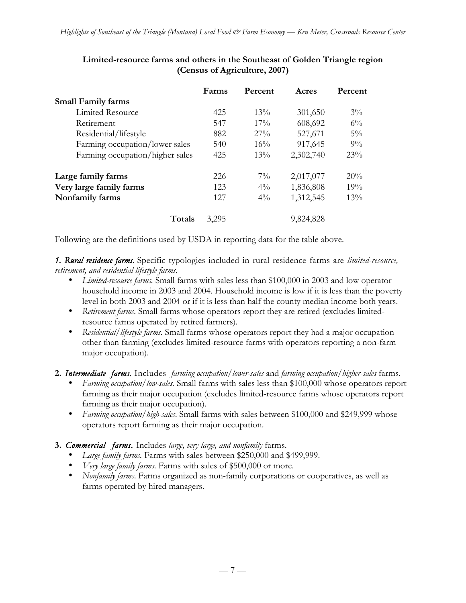|                                 | Farms | Percent | Acres     | Percent |
|---------------------------------|-------|---------|-----------|---------|
| <b>Small Family farms</b>       |       |         |           |         |
| Limited Resource                | 425   | 13%     | 301,650   | $3\%$   |
| Retirement                      | 547   | $17\%$  | 608,692   | $6\%$   |
| Residential/lifestyle           | 882   | $27\%$  | 527,671   | $5\%$   |
| Farming occupation/lower sales  | 540   | 16%     | 917,645   | $9\%$   |
| Farming occupation/higher sales | 425   | 13%     | 2,302,740 | 23%     |
| Large family farms              | 226   | $7\%$   | 2,017,077 | 20%     |
| Very large family farms         | 123   | $4\%$   | 1,836,808 | 19%     |
| Nonfamily farms                 | 12.7  | $4\%$   | 1,312,545 | 13%     |
| Totals                          | 3,295 |         | 9,824,828 |         |

## **Limited-resource farms and others in the Southeast of Golden Triangle region (Census of Agriculture, 2007)**

Following are the definitions used by USDA in reporting data for the table above.

*1. Rural residence farms.* Specific typologies included in rural residence farms are *limited-resource, retirement, and residential lifestyle farms.*

- *Limited-resource farms.* Small farms with sales less than \$100,000 in 2003 and low operator household income in 2003 and 2004. Household income is low if it is less than the poverty level in both 2003 and 2004 or if it is less than half the county median income both years.
- *Retirement farms.* Small farms whose operators report they are retired (excludes limitedresource farms operated by retired farmers).
- *Residential/lifestyle farms.* Small farms whose operators report they had a major occupation other than farming (excludes limited-resource farms with operators reporting a non-farm major occupation).

**2.** *Intermediate farms.* Includes *farming occupation/lower-sales* and *farming occupation/higher-sales* farms.

- *Farming occupation/low-sales.* Small farms with sales less than \$100,000 whose operators report farming as their major occupation (excludes limited-resource farms whose operators report farming as their major occupation).
- *Farming occupation/high-sales*. Small farms with sales between \$100,000 and \$249,999 whose operators report farming as their major occupation.

## **3.** *Commercial farms.* Includes *large, very large, and nonfamily* farms.

- *Large family farms.* Farms with sales between \$250,000 and \$499,999.
- *Very large family farms.* Farms with sales of \$500,000 or more.
- *Nonfamily farms*. Farms organized as non-family corporations or cooperatives, as well as farms operated by hired managers.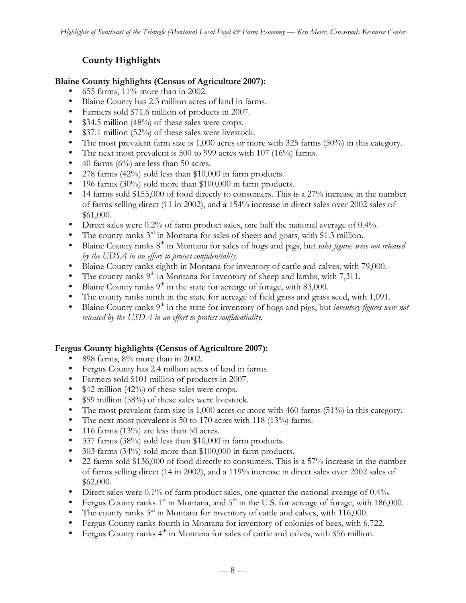# **County Highlights**

## **Blaine County highlights (Census of Agriculture 2007):**

- 655 farms, 11% more than in 2002.
- Blaine County has 2.3 million acres of land in farms.
- Farmers sold \$71.6 million of products in 2007.
- \$34.5 million (48%) of these sales were crops.
- \$37.1 million (52%) of these sales were livestock.
- The most prevalent farm size is 1,000 acres or more with 325 farms (50%) in this category.
- The next most prevalent is 500 to 999 acres with 107 (16%) farms.
- 40 farms  $(6\%)$  are less than 50 acres.
- 278 farms (42%) sold less than \$10,000 in farm products.
- 196 farms (30%) sold more than \$100,000 in farm products.
- 14 farms sold \$155,000 of food directly to consumers. This is a 27% increase in the number of farms selling direct (11 in 2002), and a 154% increase in direct sales over 2002 sales of \$61,000.
- Direct sales were 0.2% of farm product sales, one half the national average of 0.4%.
- The county ranks  $3^{rd}$  in Montana for sales of sheep and goats, with \$1.3 million.
- Blaine County ranks 8th in Montana for sales of hogs and pigs, but *sales figures were not released by the UDSA in an effort to protect confidentiality.*
- Blaine County ranks eighth in Montana for inventory of cattle and calves, with 79,000.
- The county ranks  $9<sup>th</sup>$  in Montana for inventory of sheep and lambs, with 7,311.
- Blaine County ranks  $9<sup>th</sup>$  in the state for acreage of forage, with 83,000.
- The county ranks ninth in the state for acreage of field grass and grass seed, with 1,091.<br>• Blaine County ranks  $9<sup>th</sup>$  in the state for inventory of hoos and pios, but *inventory figures we*
- Blaine County ranks 9th in the state for inventory of hogs and pigs, but *inventory figures were not released by the USDA in an effort to protect confidentiality.*

## **Fergus County highlights (Census of Agriculture 2007):**

- 898 farms, 8% more than in 2002.
- Fergus County has 2.4 million acres of land in farms.
- Farmers sold \$101 million of products in 2007.
- $$42$  million (42%) of these sales were crops.
- \$59 million (58%) of these sales were livestock.
- The most prevalent farm size is 1,000 acres or more with 460 farms (51%) in this category.
- The next most prevalent is 50 to 170 acres with 118 (13%) farms.
- 116 farms  $(13\%)$  are less than 50 acres.
- 337 farms (38%) sold less than \$10,000 in farm products.
- 303 farms (34%) sold more than \$100,000 in farm products.
- 22 farms sold \$136,000 of food directly to consumers. This is a 57% increase in the number of farms selling direct (14 in 2002), and a 119% increase in direct sales over 2002 sales of \$62,000.
- Direct sales were 0.1% of farm product sales, one quarter the national average of 0.4%.
- Fergus County ranks  $1<sup>st</sup>$  in Montana, and  $5<sup>th</sup>$  in the U.S. for acreage of forage, with 186,000.
- The county ranks  $3^{rd}$  in Montana for inventory of cattle and calves, with 116,000.
- Fergus County ranks fourth in Montana for inventory of colonies of bees, with 6,722.
- Fergus County ranks  $4<sup>th</sup>$  in Montana for sales of cattle and calves, with \$56 million.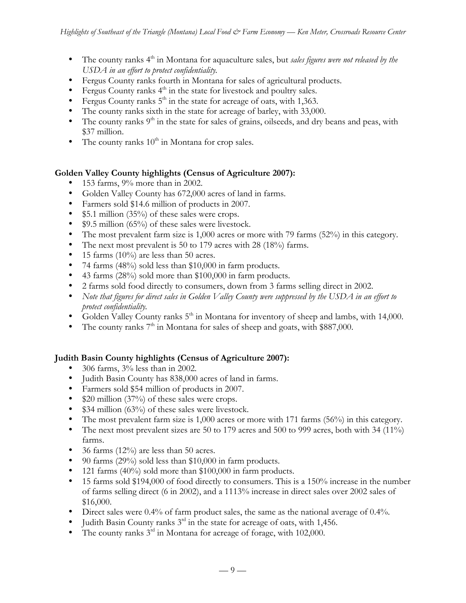- The county ranks 4<sup>th</sup> in Montana for aquaculture sales, but *sales figures were not released by the USDA in an effort to protect confidentiality.*
- Fergus County ranks fourth in Montana for sales of agricultural products.
- Fergus County ranks  $4<sup>th</sup>$  in the state for livestock and poultry sales.
- Fergus County ranks  $5<sup>th</sup>$  in the state for acreage of oats, with 1,363.
- The county ranks sixth in the state for acreage of barley, with 33,000.
- The county ranks  $9<sup>th</sup>$  in the state for sales of grains, oilseeds, and dry beans and peas, with \$37 million.
- The county ranks  $10^{\text{th}}$  in Montana for crop sales.

#### **Golden Valley County highlights (Census of Agriculture 2007):**

- 153 farms, 9% more than in 2002.
- Golden Valley County has 672,000 acres of land in farms.
- Farmers sold \$14.6 million of products in 2007.
- \$5.1 million (35%) of these sales were crops.
- \$9.5 million (65%) of these sales were livestock.
- The most prevalent farm size is 1,000 acres or more with 79 farms (52%) in this category.
- The next most prevalent is 50 to 179 acres with 28 (18%) farms.
- 15 farms (10%) are less than 50 acres.
- 74 farms (48%) sold less than \$10,000 in farm products.
- 43 farms (28%) sold more than \$100,000 in farm products.
- 2 farms sold food directly to consumers, down from 3 farms selling direct in 2002.
- *Note that figures for direct sales in Golden Valley County were suppressed by the USDA in an effort to protect confidentiality.*
- Golden Valley County ranks  $5<sup>th</sup>$  in Montana for inventory of sheep and lambs, with 14,000.
- The county ranks  $7<sup>th</sup>$  in Montana for sales of sheep and goats, with \$887,000.

## **Judith Basin County highlights (Census of Agriculture 2007):**

- 306 farms, 3% less than in 2002.
- Judith Basin County has 838,000 acres of land in farms.
- Farmers sold \$54 million of products in 2007.
- \$20 million (37%) of these sales were crops.
- \$34 million (63%) of these sales were livestock.
- The most prevalent farm size is 1,000 acres or more with 171 farms (56%) in this category.
- The next most prevalent sizes are 50 to 179 acres and 500 to 999 acres, both with 34 (11%) farms.
- 36 farms  $(12\%)$  are less than 50 acres.
- 90 farms (29%) sold less than \$10,000 in farm products.
- 121 farms (40%) sold more than \$100,000 in farm products.
- 15 farms sold \$194,000 of food directly to consumers. This is a 150% increase in the number of farms selling direct (6 in 2002), and a 1113% increase in direct sales over 2002 sales of \$16,000.
- Direct sales were 0.4% of farm product sales, the same as the national average of 0.4%.
- Judith Basin County ranks  $3<sup>rd</sup>$  in the state for acreage of oats, with 1,456.
- The county ranks  $3<sup>rd</sup>$  in Montana for acreage of forage, with 102,000.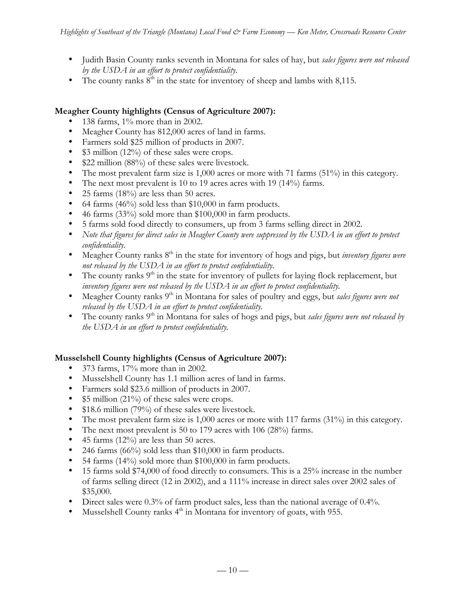- Judith Basin County ranks seventh in Montana for sales of hay, but *sales figures were not released by the USDA in an effort to protect confidentiality.*
- The county ranks  $8<sup>th</sup>$  in the state for inventory of sheep and lambs with 8,115.

### **Meagher County highlights (Census of Agriculture 2007):**

- 138 farms, 1% more than in 2002.
- Meagher County has 812,000 acres of land in farms.
- Farmers sold \$25 million of products in 2007.
- \$3 million (12%) of these sales were crops.
- \$22 million (88%) of these sales were livestock.
- The most prevalent farm size is 1,000 acres or more with 71 farms (51%) in this category.
- The next most prevalent is 10 to 19 acres acres with 19 (14%) farms.
- 25 farms (18%) are less than 50 acres.
- 64 farms (46%) sold less than \$10,000 in farm products.
- 46 farms (33%) sold more than \$100,000 in farm products.
- 5 farms sold food directly to consumers, up from 3 farms selling direct in 2002.
- *Note that figures for direct sales in Meagher County were suppressed by the USDA in an effort to protect confidentiality.*
- Meagher County ranks 8<sup>th</sup> in the state for inventory of hogs and pigs, but *inventory figures were not released by the USDA in an effort to protect confidentiality.*
- The county ranks  $9<sup>th</sup>$  in the state for inventory of pullets for laying flock replacement, but *inventory figures were not released by the USDA in an effort to protect confidentiality.*
- Meagher County ranks 9<sup>th</sup> in Montana for sales of poultry and eggs, but *sales figures were not released by the USDA in an effort to protect confidentiality.*
- The county ranks 9<sup>th</sup> in Montana for sales of hogs and pigs, but *sales figures were not released by the USDA in an effort to protect confidentiality.*

## **Musselshell County highlights (Census of Agriculture 2007):**

- 373 farms, 17% more than in 2002.
- Musselshell County has 1.1 million acres of land in farms.
- Farmers sold \$23.6 million of products in 2007.
- \$5 million (21%) of these sales were crops.
- \$18.6 million (79%) of these sales were livestock.
- The most prevalent farm size is 1,000 acres or more with 117 farms (31%) in this category.
- The next most prevalent is 50 to 179 acres with 106 (28%) farms.
- 45 farms (12%) are less than 50 acres.
- 246 farms (66%) sold less than \$10,000 in farm products.
- 54 farms (14%) sold more than \$100,000 in farm products.
- 15 farms sold \$74,000 of food directly to consumers. This is a 25% increase in the number of farms selling direct (12 in 2002), and a 111% increase in direct sales over 2002 sales of \$35,000.
- Direct sales were 0.3% of farm product sales, less than the national average of 0.4%.
- Musselshell County ranks  $4<sup>th</sup>$  in Montana for inventory of goats, with 955.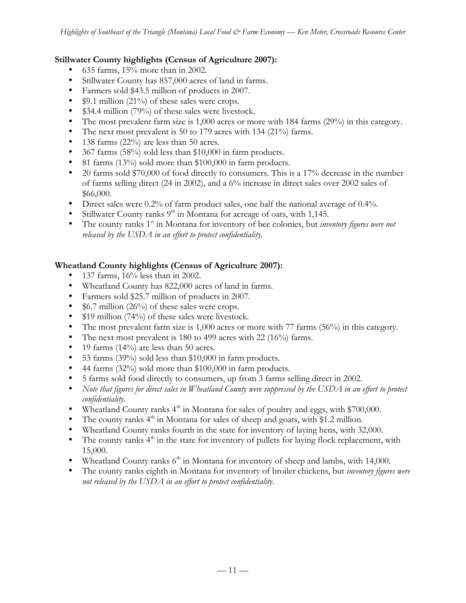### **Stillwater County highlights (Census of Agriculture 2007):**

- 635 farms, 15% more than in 2002.
- Stillwater County has 857,000 acres of land in farms.
- Farmers sold \$43.5 million of products in 2007.
- \$9.1 million (21%) of these sales were crops.
- \$34.4 million (79%) of these sales were livestock.
- The most prevalent farm size is 1,000 acres or more with 184 farms (29%) in this category.
- The next most prevalent is 50 to 179 acres with 134 (21%) farms.
- 138 farms (22%) are less than 50 acres.
- 367 farms (58%) sold less than \$10,000 in farm products.
- 81 farms (13%) sold more than \$100,000 in farm products.
- 20 farms sold \$70,000 of food directly to consumers. This is a 17% decrease in the number of farms selling direct (24 in 2002), and a 6% increase in direct sales over 2002 sales of \$66,000.
- Direct sales were 0.2% of farm product sales, one half the national average of 0.4%.
- Stillwater County ranks  $9<sup>th</sup>$  in Montana for acreage of oats, with 1,145.
- The county ranks 1<sup>st</sup> in Montana for inventory of bee colonies, but *inventory figures were not released by the USDA in an effort to protect confidentiality.*

### **Wheatland County highlights (Census of Agriculture 2007):**

- 137 farms, 16% less than in 2002.
- Wheatland County has 822,000 acres of land in farms.
- Farmers sold \$25.7 million of products in 2007.
- \$6.7 million (26%) of these sales were crops.
- \$19 million (74%) of these sales were livestock.
- The most prevalent farm size is 1,000 acres or more with 77 farms (56%) in this category.
- The next most prevalent is 180 to 499 acres with 22 (16%) farms.
- 19 farms  $(14\%)$  are less than 50 acres.
- 53 farms (39%) sold less than \$10,000 in farm products.
- 44 farms (32%) sold more than \$100,000 in farm products.
- 5 farms sold food directly to consumers, up from 3 farms selling direct in 2002.
- *Note that figures for direct sales in Wheatland County were suppressed by the USDA in an effort to protect confidentiality.*
- Wheatland County ranks  $4<sup>th</sup>$  in Montana for sales of poultry and eggs, with \$700,000.
- The county ranks  $4<sup>th</sup>$  in Montana for sales of sheep and goats, with \$1.2 million.
- Wheatland County ranks fourth in the state for inventory of laying hens, with 32,000.
- The county ranks  $4<sup>th</sup>$  in the state for inventory of pullets for laying flock replacement, with 15,000.
- Wheatland County ranks  $6<sup>th</sup>$  in Montana for inventory of sheep and lambs, with 14,000.
- The county ranks eighth in Montana for inventory of broiler chickens, but *inventory figures were not released by the USDA in an effort to protect confidentiality.*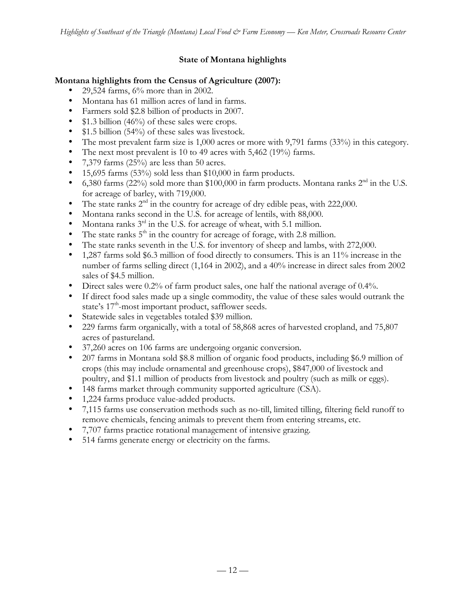## **State of Montana highlights**

### **Montana highlights from the Census of Agriculture (2007):**

- 29,524 farms, 6% more than in 2002.
- Montana has 61 million acres of land in farms.
- Farmers sold \$2.8 billion of products in 2007.
- \$1.3 billion (46%) of these sales were crops.
- \$1.5 billion (54%) of these sales was livestock.
- The most prevalent farm size is 1,000 acres or more with 9,791 farms (33%) in this category.
- The next most prevalent is 10 to 49 acres with 5,462 (19%) farms.
- 7,379 farms (25%) are less than 50 acres.
- 15,695 farms  $(53\%)$  sold less than \$10,000 in farm products.
- 6,380 farms (22%) sold more than \$100,000 in farm products. Montana ranks  $2<sup>nd</sup>$  in the U.S. for acreage of barley, with 719,000.
- The state ranks  $2<sup>nd</sup>$  in the country for acreage of dry edible peas, with 222,000.
- Montana ranks second in the U.S. for acreage of lentils, with 88,000.
- Montana ranks  $3^{rd}$  in the U.S. for acreage of wheat, with 5.1 million.
- The state ranks  $5<sup>th</sup>$  in the country for acreage of forage, with 2.8 million.
- The state ranks seventh in the U.S. for inventory of sheep and lambs, with 272,000.
- 1,287 farms sold \$6.3 million of food directly to consumers. This is an 11% increase in the number of farms selling direct (1,164 in 2002), and a 40% increase in direct sales from 2002 sales of \$4.5 million.
- Direct sales were 0.2% of farm product sales, one half the national average of 0.4%.
- If direct food sales made up a single commodity, the value of these sales would outrank the state's 17<sup>th</sup>-most important product, safflower seeds.
- Statewide sales in vegetables totaled \$39 million.
- 229 farms farm organically, with a total of 58,868 acres of harvested cropland, and 75,807 acres of pastureland.
- 37,260 acres on 106 farms are undergoing organic conversion.
- 207 farms in Montana sold \$8.8 million of organic food products, including \$6.9 million of crops (this may include ornamental and greenhouse crops), \$847,000 of livestock and poultry, and \$1.1 million of products from livestock and poultry (such as milk or eggs).
- 148 farms market through community supported agriculture (CSA).
- 1,224 farms produce value-added products.
- 7,115 farms use conservation methods such as no-till, limited tilling, filtering field runoff to remove chemicals, fencing animals to prevent them from entering streams, etc.
- 7,707 farms practice rotational management of intensive grazing.
- 514 farms generate energy or electricity on the farms.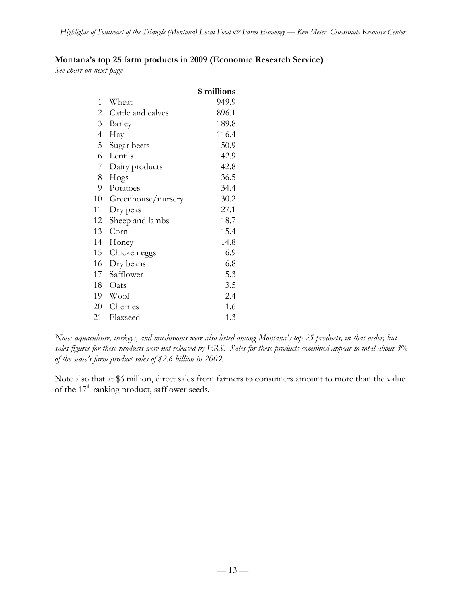### **Montana's top 25 farm products in 2009 (Economic Research Service)**

*See chart on next page*

|                          |                    | \$ millions |
|--------------------------|--------------------|-------------|
| 1                        | Wheat              | 949.9       |
| $\overline{c}$           | Cattle and calves  | 896.1       |
| 3                        | Barley             | 189.8       |
| $\overline{\mathcal{A}}$ | Hay                | 116.4       |
| 5                        | Sugar beets        | 50.9        |
| 6                        | Lentils            | 42.9        |
| 7                        | Dairy products     | 42.8        |
| 8                        | Hogs               | 36.5        |
| 9                        | Potatoes           | 34.4        |
| 10                       | Greenhouse/nursery | 30.2        |
| 11                       | Dry peas           | 27.1        |
| 12                       | Sheep and lambs    | 18.7        |
| 13                       | Corn               | 15.4        |
| 14                       | Honey              | 14.8        |
| 15                       | Chicken eggs       | 6.9         |
| 16                       | Dry beans          | 6.8         |
| 17                       | Safflower          | 5.3         |
| 18                       | Oats               | 3.5         |
| 19                       | Wool               | 2.4         |
| 20                       | Cherries           | 1.6         |
| 21                       | Flaxseed           | 1.3         |

*Note: aquaculture, turkeys, and mushrooms were also listed among Montana's top 25 products, in that order, but sales figures for these products were not released by ERS. Sales for these products combined appear to total about 3% of the state's farm product sales of \$2.6 billion in 2009.*

Note also that at \$6 million, direct sales from farmers to consumers amount to more than the value of the  $17<sup>th</sup>$  ranking product, safflower seeds.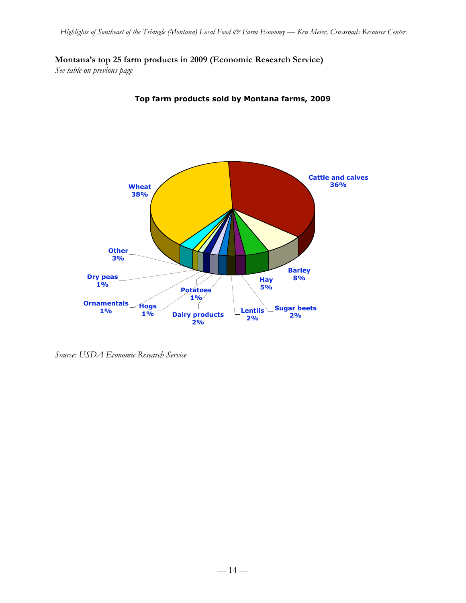**Montana's top 25 farm products in 2009 (Economic Research Service)**

*See table on previous page*



**Top farm products sold by Montana farms, 2009**

*Source: USDA Economic Research Service*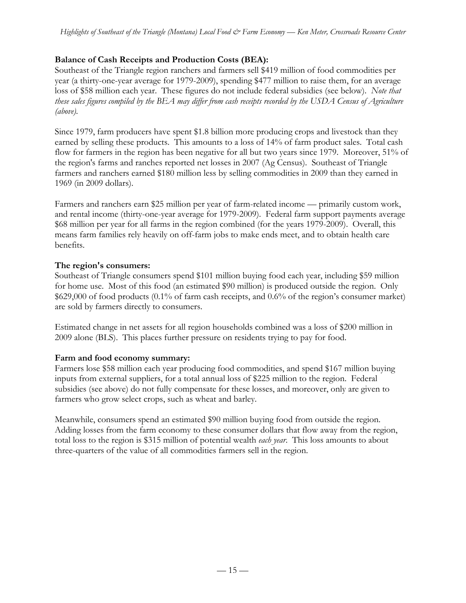## **Balance of Cash Receipts and Production Costs (BEA):**

Southeast of the Triangle region ranchers and farmers sell \$419 million of food commodities per year (a thirty-one-year average for 1979-2009), spending \$477 million to raise them, for an average loss of \$58 million each year. These figures do not include federal subsidies (see below). *Note that these sales figures compiled by the BEA may differ from cash receipts recorded by the USDA Census of Agriculture (above).*

Since 1979, farm producers have spent \$1.8 billion more producing crops and livestock than they earned by selling these products. This amounts to a loss of 14% of farm product sales. Total cash flow for farmers in the region has been negative for all but two years since 1979. Moreover, 51% of the region's farms and ranches reported net losses in 2007 (Ag Census). Southeast of Triangle farmers and ranchers earned \$180 million less by selling commodities in 2009 than they earned in 1969 (in 2009 dollars).

Farmers and ranchers earn \$25 million per year of farm-related income — primarily custom work, and rental income (thirty-one-year average for 1979-2009). Federal farm support payments average \$68 million per year for all farms in the region combined (for the years 1979-2009). Overall, this means farm families rely heavily on off-farm jobs to make ends meet, and to obtain health care benefits.

## **The region's consumers:**

Southeast of Triangle consumers spend \$101 million buying food each year, including \$59 million for home use. Most of this food (an estimated \$90 million) is produced outside the region. Only \$629,000 of food products (0.1% of farm cash receipts, and 0.6% of the region's consumer market) are sold by farmers directly to consumers.

Estimated change in net assets for all region households combined was a loss of \$200 million in 2009 alone (BLS). This places further pressure on residents trying to pay for food.

## **Farm and food economy summary:**

Farmers lose \$58 million each year producing food commodities, and spend \$167 million buying inputs from external suppliers, for a total annual loss of \$225 million to the region. Federal subsidies (see above) do not fully compensate for these losses, and moreover, only are given to farmers who grow select crops, such as wheat and barley.

Meanwhile, consumers spend an estimated \$90 million buying food from outside the region. Adding losses from the farm economy to these consumer dollars that flow away from the region, total loss to the region is \$315 million of potential wealth *each year*. This loss amounts to about three-quarters of the value of all commodities farmers sell in the region.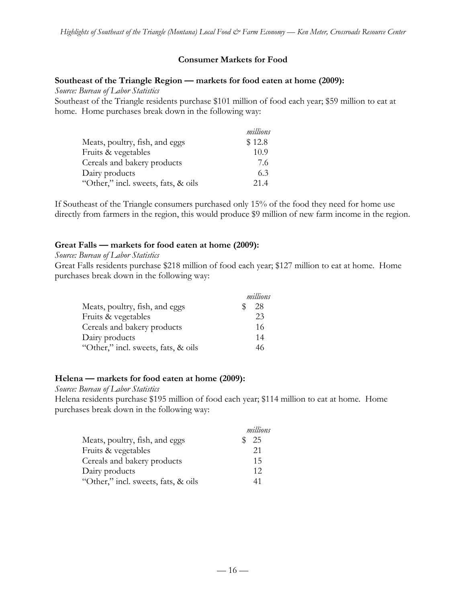#### **Consumer Markets for Food**

#### **Southeast of the Triangle Region — markets for food eaten at home (2009):**

*Source: Bureau of Labor Statistics*

Southeast of the Triangle residents purchase \$101 million of food each year; \$59 million to eat at home. Home purchases break down in the following way:

|                                     | millions |
|-------------------------------------|----------|
| Meats, poultry, fish, and eggs      | \$12.8   |
| Fruits & vegetables                 | 10.9     |
| Cereals and bakery products         | 7.6      |
| Dairy products                      | 6.3      |
| "Other," incl. sweets, fats, & oils | 21.4     |

If Southeast of the Triangle consumers purchased only 15% of the food they need for home use directly from farmers in the region, this would produce \$9 million of new farm income in the region.

#### **Great Falls — markets for food eaten at home (2009):**

#### *Source: Bureau of Labor Statistics*

Great Falls residents purchase \$218 million of food each year; \$127 million to eat at home. Home purchases break down in the following way:

|                                     | millions |
|-------------------------------------|----------|
| Meats, poultry, fish, and eggs      | 28       |
| Fruits & vegetables                 | 23       |
| Cereals and bakery products         | 16       |
| Dairy products                      | 14       |
| "Other," incl. sweets, fats, & oils | 46       |

#### **Helena — markets for food eaten at home (2009):**

*Source: Bureau of Labor Statistics*

Helena residents purchase \$195 million of food each year; \$114 million to eat at home. Home purchases break down in the following way:

|                                     | millions |
|-------------------------------------|----------|
| Meats, poultry, fish, and eggs      | -25      |
| Fruits & vegetables                 | 21       |
| Cereals and bakery products         | 15       |
| Dairy products                      | 12       |
| "Other," incl. sweets, fats, & oils | 41       |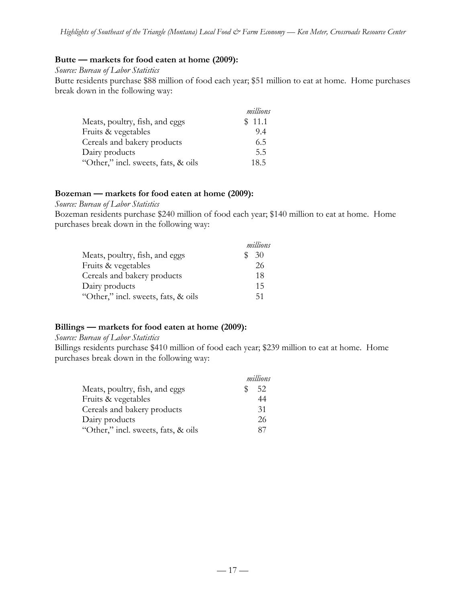#### **Butte — markets for food eaten at home (2009):**

#### *Source: Bureau of Labor Statistics*

Butte residents purchase \$88 million of food each year; \$51 million to eat at home. Home purchases break down in the following way:

|                                     | millions |
|-------------------------------------|----------|
| Meats, poultry, fish, and eggs      | \$11.1   |
| Fruits & vegetables                 | 9.4      |
| Cereals and bakery products         | 6.5      |
| Dairy products                      | 5.5      |
| "Other," incl. sweets, fats, & oils | 18.5     |

#### **Bozeman — markets for food eaten at home (2009):**

*Source: Bureau of Labor Statistics*

Bozeman residents purchase \$240 million of food each year; \$140 million to eat at home. Home purchases break down in the following way:

|                                     | millions |
|-------------------------------------|----------|
| Meats, poultry, fish, and eggs      | 30       |
| Fruits & vegetables                 | 26       |
| Cereals and bakery products         | 18       |
| Dairy products                      | 15       |
| "Other," incl. sweets, fats, & oils | 51       |

#### **Billings — markets for food eaten at home (2009):**

*Source: Bureau of Labor Statistics*

Billings residents purchase \$410 million of food each year; \$239 million to eat at home. Home purchases break down in the following way:

|                                     | millions |
|-------------------------------------|----------|
| Meats, poultry, fish, and eggs      | 52       |
| Fruits & vegetables                 | 44       |
| Cereals and bakery products         | 31       |
| Dairy products                      | 26       |
| "Other," incl. sweets, fats, & oils | 87       |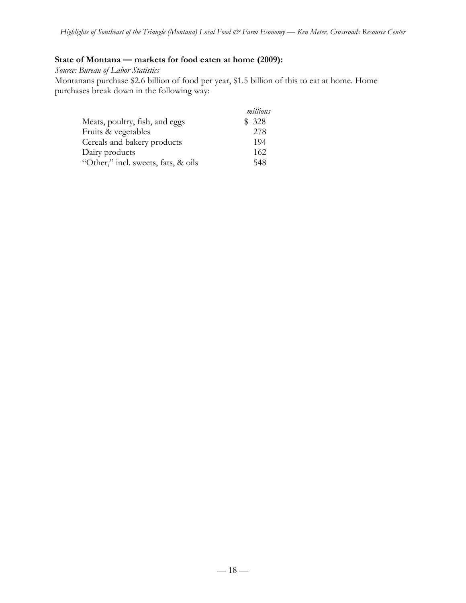## **State of Montana — markets for food eaten at home (2009):**

*Source: Bureau of Labor Statistics* Montanans purchase \$2.6 billion of food per year, \$1.5 billion of this to eat at home. Home purchases break down in the following way:

|                                     | millions |
|-------------------------------------|----------|
| Meats, poultry, fish, and eggs      | \$328    |
| Fruits & vegetables                 | 278      |
| Cereals and bakery products         | 194      |
| Dairy products                      | 162      |
| "Other," incl. sweets, fats, & oils | 548      |